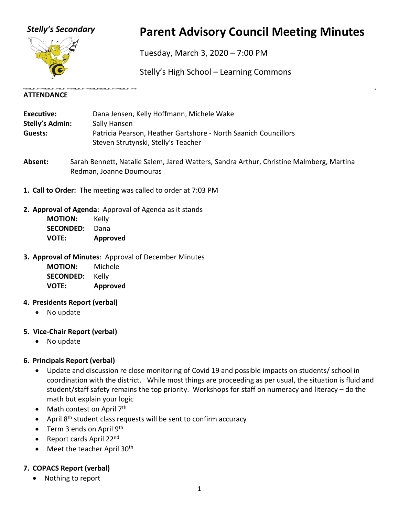

# *Stelly's Secondary* **Parent Advisory Council Meeting Minutes**

Tuesday, March 3, 2020 – 7:00 PM

Stelly's High School – Learning Commons

#### **ATTENDANCE**

| Executive:      | Dana Jensen, Kelly Hoffmann, Michele Wake                       |
|-----------------|-----------------------------------------------------------------|
| Stelly's Admin: | Sally Hansen                                                    |
| Guests:         | Patricia Pearson, Heather Gartshore - North Saanich Councillors |
|                 | Steven Strutynski, Stelly's Teacher                             |

- **Absent:** Sarah Bennett, Natalie Salem, Jared Watters, Sandra Arthur, Christine Malmberg, Martina Redman, Joanne Doumouras
- **1. Call to Order:** The meeting was called to order at 7:03 PM

ar e an comercar e an comercar e an comercar e an comercar e an co

- **2. Approval of Agenda**: Approval of Agenda as it stands **MOTION:** Kelly **SECONDED:** Dana **VOTE: Approved**
- **3. Approval of Minutes**: Approval of December Minutes

**MOTION:** Michele **SECONDED:** Kelly **VOTE: Approved**

- **4. Presidents Report (verbal)**
	- No update

### **5. Vice-Chair Report (verbal)**

• No update

### **6. Principals Report (verbal)**

- Update and discussion re close monitoring of Covid 19 and possible impacts on students/ school in coordination with the district. While most things are proceeding as per usual, the situation is fluid and student/staff safety remains the top priority. Workshops for staff on numeracy and literacy – do the math but explain your logic
- Math contest on April 7<sup>th</sup>
- April  $8<sup>th</sup>$  student class requests will be sent to confirm accuracy
- Term 3 ends on April  $9<sup>th</sup>$
- Report cards April 22nd
- Meet the teacher April  $30<sup>th</sup>$

## **7. COPACS Report (verbal)**

• Nothing to report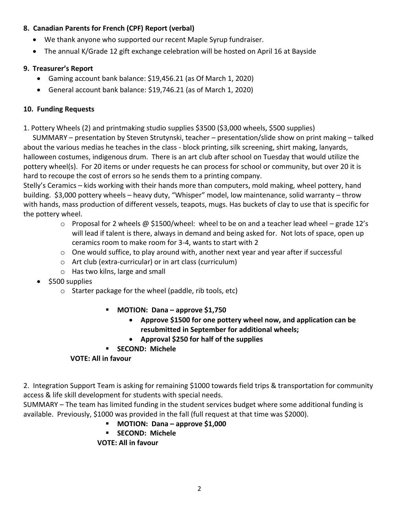#### **8. Canadian Parents for French (CPF) Report (verbal)**

- We thank anyone who supported our recent Maple Syrup fundraiser.
- The annual K/Grade 12 gift exchange celebration will be hosted on April 16 at Bayside

#### **9. Treasurer's Report**

- Gaming account bank balance: \$19,456.21 (as Of March 1, 2020)
- General account bank balance: \$19,746.21 (as of March 1, 2020)

#### **10. Funding Requests**

1. Pottery Wheels (2) and printmaking studio supplies \$3500 (\$3,000 wheels, \$500 supplies)

SUMMARY – presentation by Steven Strutynski, teacher – presentation/slide show on print making – talked about the various medias he teaches in the class - block printing, silk screening, shirt making, lanyards, halloween costumes, indigenous drum. There is an art club after school on Tuesday that would utilize the pottery wheel(s). For 20 items or under requests he can process for school or community, but over 20 it is hard to recoupe the cost of errors so he sends them to a printing company.

Stelly's Ceramics – kids working with their hands more than computers, mold making, wheel pottery, hand building. \$3,000 pottery wheels – heavy duty, "Whisper" model, low maintenance, solid warranty – throw with hands, mass production of different vessels, teapots, mugs. Has buckets of clay to use that is specific for the pottery wheel.

- $\circ$  Proposal for 2 wheels @ \$1500/wheel: wheel to be on and a teacher lead wheel grade 12's will lead if talent is there, always in demand and being asked for. Not lots of space, open up ceramics room to make room for 3-4, wants to start with 2
- $\circ$  One would suffice, to play around with, another next year and year after if successful
- o Art club (extra-curricular) or in art class (curriculum)
- o Has two kilns, large and small
- \$500 supplies
	- o Starter package for the wheel (paddle, rib tools, etc)
		- **MOTION: Dana – approve \$1,750**
			- **Approve \$1500 for one pottery wheel now, and application can be resubmitted in September for additional wheels;**
			- **Approval \$250 for half of the supplies**
		- **SECOND: Michele**

### **VOTE: All in favour**

2. Integration Support Team is asking for remaining \$1000 towards field trips & transportation for community access & life skill development for students with special needs.

SUMMARY – The team has limited funding in the student services budget where some additional funding is available. Previously, \$1000 was provided in the fall (full request at that time was \$2000).

- **MOTION: Dana – approve \$1,000**
- **SECOND: Michele**

**VOTE: All in favour**